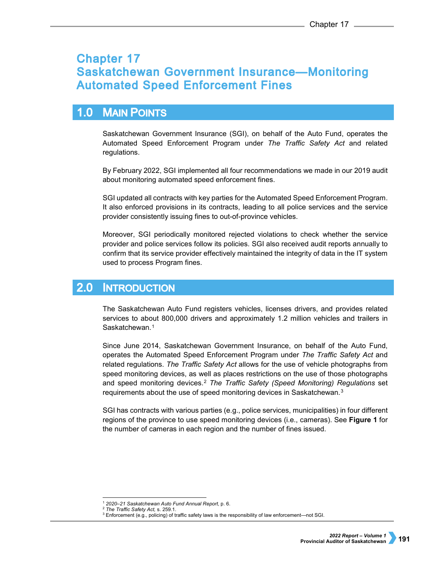# **Chapter 17 Saskatchewan Government Insurance-Monitoring Automated Speed Enforcement Fines**

### $1.0$ **MAIN POINTS**

Saskatchewan Government Insurance (SGI), on behalf of the Auto Fund, operates the Automated Speed Enforcement Program under *The Traffic Safety Act* and related regulations.

By February 2022, SGI implemented all four recommendations we made in our 2019 audit about monitoring automated speed enforcement fines.

SGI updated all contracts with key parties for the Automated Speed Enforcement Program. It also enforced provisions in its contracts, leading to all police services and the service provider consistently issuing fines to out-of-province vehicles.

Moreover, SGI periodically monitored rejected violations to check whether the service provider and police services follow its policies. SGI also received audit reports annually to confirm that its service provider effectively maintained the integrity of data in the IT system used to process Program fines.

#### $2.0<sub>1</sub>$ **INTRODUCTION**

The Saskatchewan Auto Fund registers vehicles, licenses drivers, and provides related services to about 800,000 drivers and approximately 1.2 million vehicles and trailers in Saskatchewan.<sup>[1](#page-0-0)</sup>

Since June 2014, Saskatchewan Government Insurance, on behalf of the Auto Fund, operates the Automated Speed Enforcement Program under *The Traffic Safety Act* and related regulations. *The Traffic Safety Act* allows for the use of vehicle photographs from speed monitoring devices, as well as places restrictions on the use of those photographs and speed monitoring devices.[2](#page-0-1) *The Traffic Safety (Speed Monitoring) Regulations* set requirements about the use of speed monitoring devices in Saskatchewan.<sup>[3](#page-0-2)</sup>

SGI has contracts with various parties (e.g., police services, municipalities) in four different regions of the province to use speed monitoring devices (i.e., cameras). See **Figure 1** for the number of cameras in each region and the number of fines issued.

<sup>-</sup><sup>1</sup> 2020–21 Saskatchewan Auto Fund Annual Report, p. 6.<br><sup>2</sup> The Traffic Safety Act, s. 259.1.

<span id="page-0-2"></span><span id="page-0-1"></span><span id="page-0-0"></span>

<sup>&</sup>lt;sup>3</sup> Enforcement (e.g., policing) of traffic safety laws is the responsibility of law enforcement-not SGI.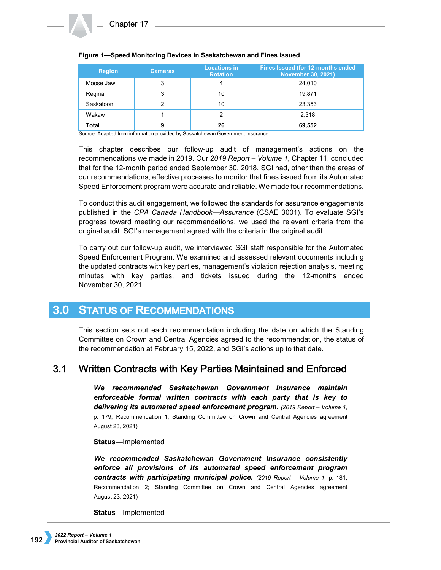| <b>Region</b> | <b>Cameras</b> | <b>Locations in</b><br><b>Rotation</b> | Fines Issued (for 12-months ended<br><b>November 30, 2021)</b> |
|---------------|----------------|----------------------------------------|----------------------------------------------------------------|
| Moose Jaw     | 3              |                                        | 24,010                                                         |
| Regina        | 3              | 10                                     | 19.871                                                         |
| Saskatoon     |                | 10                                     | 23,353                                                         |
| Wakaw         |                |                                        | 2.318                                                          |
| Total         | 9              | 26                                     | 69,552                                                         |

## **Figure 1—Speed Monitoring Devices in Saskatchewan and Fines Issued**

Source: Adapted from information provided by Saskatchewan Government Insurance.

This chapter describes our follow-up audit of management's actions on the recommendations we made in 2019. Our *2019 Report – Volume 1*, Chapter 11, concluded that for the 12-month period ended September 30, 2018, SGI had, other than the areas of our recommendations, effective processes to monitor that fines issued from its Automated Speed Enforcement program were accurate and reliable. We made four recommendations.

To conduct this audit engagement, we followed the standards for assurance engagements published in the *CPA Canada Handbook—Assurance* (CSAE 3001). To evaluate SGI's progress toward meeting our recommendations, we used the relevant criteria from the original audit. SGI's management agreed with the criteria in the original audit.

To carry out our follow-up audit, we interviewed SGI staff responsible for the Automated Speed Enforcement Program. We examined and assessed relevant documents including the updated contracts with key parties, management's violation rejection analysis, meeting minutes with key parties, and tickets issued during the 12-months ended November 30, 2021.

#### **STATUS OF RECOMMENDATIONS**  $3.0<sub>1</sub>$

This section sets out each recommendation including the date on which the Standing Committee on Crown and Central Agencies agreed to the recommendation, the status of the recommendation at February 15, 2022, and SGI's actions up to that date.

#### Written Contracts with Key Parties Maintained and Enforced  $3.1$

*We recommended Saskatchewan Government Insurance maintain enforceable formal written contracts with each party that is key to delivering its automated speed enforcement program. (2019 Report – Volume 1,*  p. 179, Recommendation 1; Standing Committee on Crown and Central Agencies agreement August 23, 2021)

## **Status**—Implemented

*We recommended Saskatchewan Government Insurance consistently enforce all provisions of its automated speed enforcement program contracts with participating municipal police. (2019 Report – Volume 1,* p. 181, Recommendation 2; Standing Committee on Crown and Central Agencies agreement August 23, 2021)

## **Status**—Implemented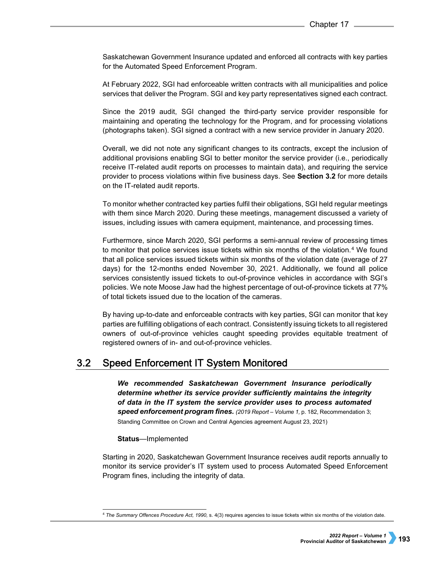Saskatchewan Government Insurance updated and enforced all contracts with key parties for the Automated Speed Enforcement Program.

At February 2022, SGI had enforceable written contracts with all municipalities and police services that deliver the Program. SGI and key party representatives signed each contract.

Since the 2019 audit, SGI changed the third-party service provider responsible for maintaining and operating the technology for the Program, and for processing violations (photographs taken). SGI signed a contract with a new service provider in January 2020.

Overall, we did not note any significant changes to its contracts, except the inclusion of additional provisions enabling SGI to better monitor the service provider (i.e., periodically receive IT-related audit reports on processes to maintain data), and requiring the service provider to process violations within five business days. See **Section 3.2** for more details on the IT-related audit reports.

To monitor whether contracted key parties fulfil their obligations, SGI held regular meetings with them since March 2020. During these meetings, management discussed a variety of issues, including issues with camera equipment, maintenance, and processing times.

Furthermore, since March 2020, SGI performs a semi-annual review of processing times to monitor that police services issue tickets within six months of the violation.<sup>4</sup> We found that all police services issued tickets within six months of the violation date (average of 27 days) for the 12-months ended November 30, 2021. Additionally, we found all police services consistently issued tickets to out-of-province vehicles in accordance with SGI's policies. We note Moose Jaw had the highest percentage of out-of-province tickets at 77% of total tickets issued due to the location of the cameras.

By having up-to-date and enforceable contracts with key parties, SGI can monitor that key parties are fulfilling obligations of each contract. Consistently issuing tickets to all registered owners of out-of-province vehicles caught speeding provides equitable treatment of registered owners of in- and out-of-province vehicles.

#### $3.2$ Speed Enforcement IT System Monitored

*We recommended Saskatchewan Government Insurance periodically determine whether its service provider sufficiently maintains the integrity of data in the IT system the service provider uses to process automated speed enforcement program fines. (2019 Report – Volume 1,* p. 182, Recommendation 3; Standing Committee on Crown and Central Agencies agreement August 23, 2021)

## **Status**—Implemented

Starting in 2020, Saskatchewan Government Insurance receives audit reports annually to monitor its service provider's IT system used to process Automated Speed Enforcement Program fines, including the integrity of data.

<span id="page-2-0"></span> <sup>4</sup> *The Summary Offences Procedure Act, 1990,* s. 4(3) requires agencies to issue tickets within six months of the violation date.